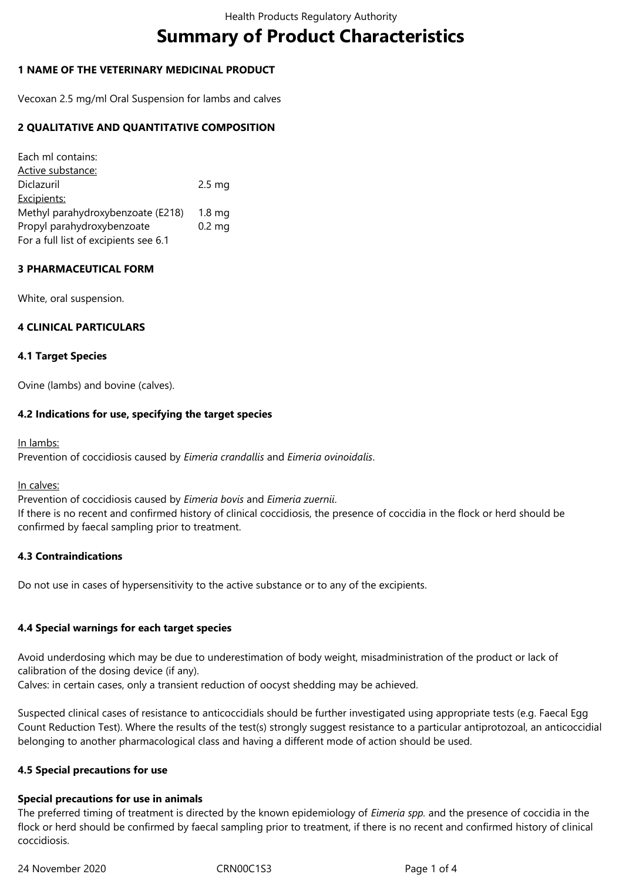# **Summary of Product Characteristics**

## **1 NAME OF THE VETERINARY MEDICINAL PRODUCT**

Vecoxan 2.5 mg/ml Oral Suspension for lambs and calves

## **2 QUALITATIVE AND QUANTITATIVE COMPOSITION**

Each ml contains: Active substance: Diclazuril 2.5 mg Excipients: Methyl parahydroxybenzoate (E218) 1.8 mg Propyl parahydroxybenzoate 0.2 mg For a full list of excipients see 6.1

## **3 PHARMACEUTICAL FORM**

White, oral suspension.

## **4 CLINICAL PARTICULARS**

## **4.1 Target Species**

Ovine (lambs) and bovine (calves).

## **4.2 Indications for use, specifying the target species**

In lambs:

Prevention of coccidiosis caused by *Eimeria crandallis* and *Eimeria ovinoidalis*.

#### In calves:

Prevention of coccidiosis caused by *Eimeria bovis* and *Eimeria zuernii*.

If there is no recent and confirmed history of clinical coccidiosis, the presence of coccidia in the flock or herd should be confirmed by faecal sampling prior to treatment.

## **4.3 Contraindications**

Do not use in cases of hypersensitivity to the active substance or to any of the excipients.

## **4.4 Special warnings for each target species**

Avoid underdosing which may be due to underestimation of body weight, misadministration of the product or lack of calibration of the dosing device (if any).

Calves: in certain cases, only a transient reduction of oocyst shedding may be achieved.

Suspected clinical cases of resistance to anticoccidials should be further investigated using appropriate tests (e.g. Faecal Egg Count Reduction Test). Where the results of the test(s) strongly suggest resistance to a particular antiprotozoal, an anticoccidial belonging to another pharmacological class and having a different mode of action should be used.

## **4.5 Special precautions for use**

## **Special precautions for use in animals**

The preferred timing of treatment is directed by the known epidemiology of *Eimeria spp.* and the presence of coccidia in the flock or herd should be confirmed by faecal sampling prior to treatment, if there is no recent and confirmed history of clinical coccidiosis.

24 November 2020 CRN00C1S3 Page 1 of 4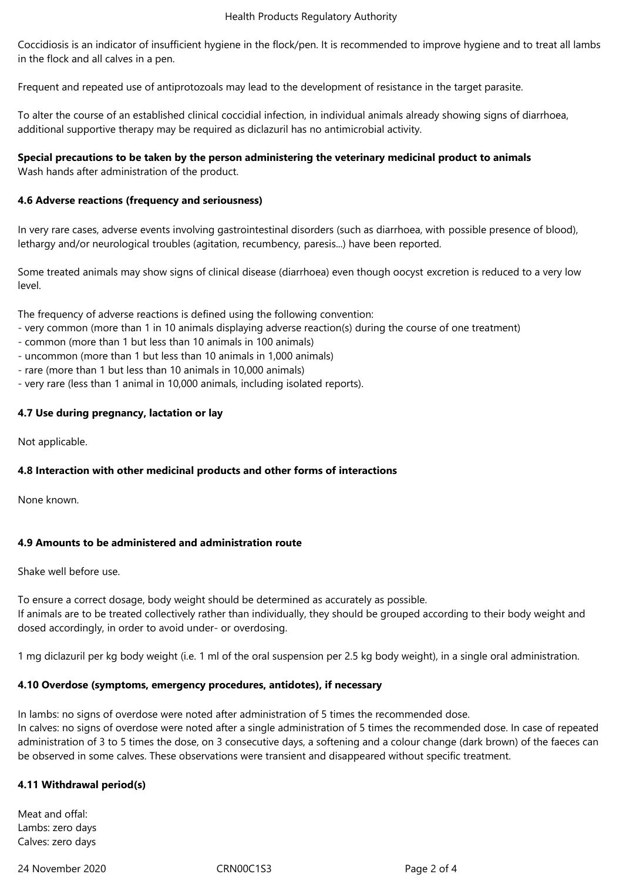#### Health Products Regulatory Authority

Coccidiosis is an indicator of insufficient hygiene in the flock/pen. It is recommended to improve hygiene and to treat all lambs in the flock and all calves in a pen.

Frequent and repeated use of antiprotozoals may lead to the development of resistance in the target parasite.

To alter the course of an established clinical coccidial infection, in individual animals already showing signs of diarrhoea, additional supportive therapy may be required as diclazuril has no antimicrobial activity.

# **Special precautions to be taken by the person administering the veterinary medicinal product to animals**

Wash hands after administration of the product.

## **4.6 Adverse reactions (frequency and seriousness)**

In very rare cases, adverse events involving gastrointestinal disorders (such as diarrhoea, with possible presence of blood), lethargy and/or neurological troubles (agitation, recumbency, paresis...) have been reported.

Some treated animals may show signs of clinical disease (diarrhoea) even though oocyst excretion is reduced to a very low level.

The frequency of adverse reactions is defined using the following convention:

- very common (more than 1 in 10 animals displaying adverse reaction(s) during the course of one treatment)
- common (more than 1 but less than 10 animals in 100 animals)
- uncommon (more than 1 but less than 10 animals in 1,000 animals)
- rare (more than 1 but less than 10 animals in 10,000 animals)
- very rare (less than 1 animal in 10,000 animals, including isolated reports).

## **4.7 Use during pregnancy, lactation or lay**

Not applicable.

## **4.8 Interaction with other medicinal products and other forms of interactions**

None known.

## **4.9 Amounts to be administered and administration route**

Shake well before use.

To ensure a correct dosage, body weight should be determined as accurately as possible. If animals are to be treated collectively rather than individually, they should be grouped according to their body weight and dosed accordingly, in order to avoid under- or overdosing.

1 mg diclazuril per kg body weight (i.e. 1 ml of the oral suspension per 2.5 kg body weight), in a single oral administration.

## **4.10 Overdose (symptoms, emergency procedures, antidotes), if necessary**

In lambs: no signs of overdose were noted after administration of 5 times the recommended dose. In calves: no signs of overdose were noted after a single administration of 5 times the recommended dose. In case of repeated administration of 3 to 5 times the dose, on 3 consecutive days, a softening and a colour change (dark brown) of the faeces can be observed in some calves. These observations were transient and disappeared without specific treatment.

## **4.11 Withdrawal period(s)**

Meat and offal: Lambs: zero days Calves: zero days

24 November 2020 CRN00C1S3 Page 2 of 4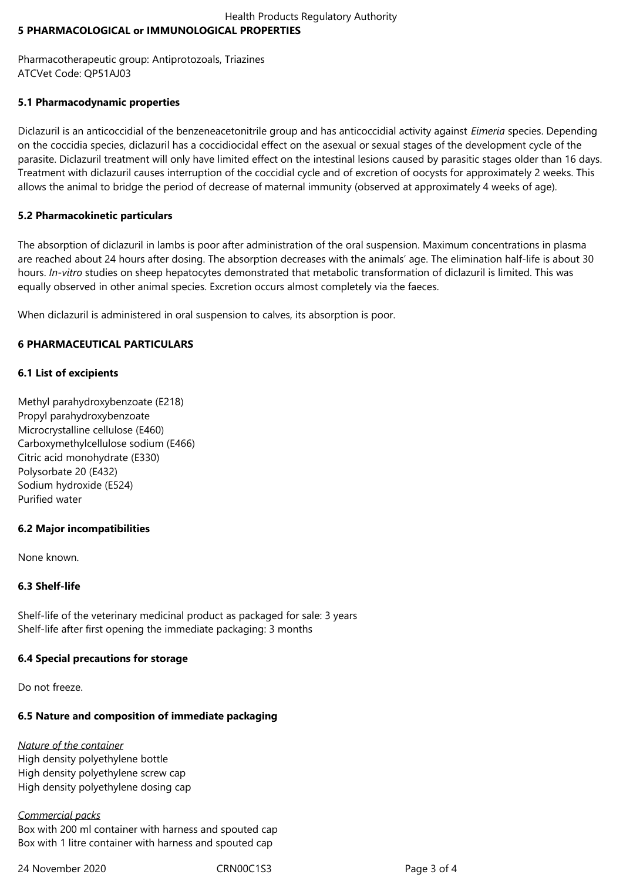## Health Products Regulatory Authority **5 PHARMACOLOGICAL or IMMUNOLOGICAL PROPERTIES**

Pharmacotherapeutic group: Antiprotozoals, Triazines ATCVet Code: QP51AJ03

## **5.1 Pharmacodynamic properties**

Diclazuril is an anticoccidial of the benzeneacetonitrile group and has anticoccidial activity against *Eimeria* species. Depending on the coccidia species, diclazuril has a coccidiocidal effect on the asexual or sexual stages of the development cycle of the parasite. Diclazuril treatment will only have limited effect on the intestinal lesions caused by parasitic stages older than 16 days. Treatment with diclazuril causes interruption of the coccidial cycle and of excretion of oocysts for approximately 2 weeks. This allows the animal to bridge the period of decrease of maternal immunity (observed at approximately 4 weeks of age).

## **5.2 Pharmacokinetic particulars**

The absorption of diclazuril in lambs is poor after administration of the oral suspension. Maximum concentrations in plasma are reached about 24 hours after dosing. The absorption decreases with the animals' age. The elimination half-life is about 30 hours. *In-vitro* studies on sheep hepatocytes demonstrated that metabolic transformation of diclazuril is limited. This was equally observed in other animal species. Excretion occurs almost completely via the faeces.

When diclazuril is administered in oral suspension to calves, its absorption is poor.

## **6 PHARMACEUTICAL PARTICULARS**

## **6.1 List of excipients**

Methyl parahydroxybenzoate (E218) Propyl parahydroxybenzoate Microcrystalline cellulose (E460) Carboxymethylcellulose sodium (E466) Citric acid monohydrate (E330) Polysorbate 20 (E432) Sodium hydroxide (E524) Purified water

# **6.2 Major incompatibilities**

None known.

## **6.3 Shelf-life**

Shelf-life of the veterinary medicinal product as packaged for sale: 3 years Shelf-life after first opening the immediate packaging: 3 months

## **6.4 Special precautions for storage**

Do not freeze.

# **6.5 Nature and composition of immediate packaging**

## *Nature of the container*

High density polyethylene bottle High density polyethylene screw cap High density polyethylene dosing cap

## *Commercial packs*

Box with 200 ml container with harness and spouted cap Box with 1 litre container with harness and spouted cap

24 November 2020 CRN00C1S3 Page 3 of 4